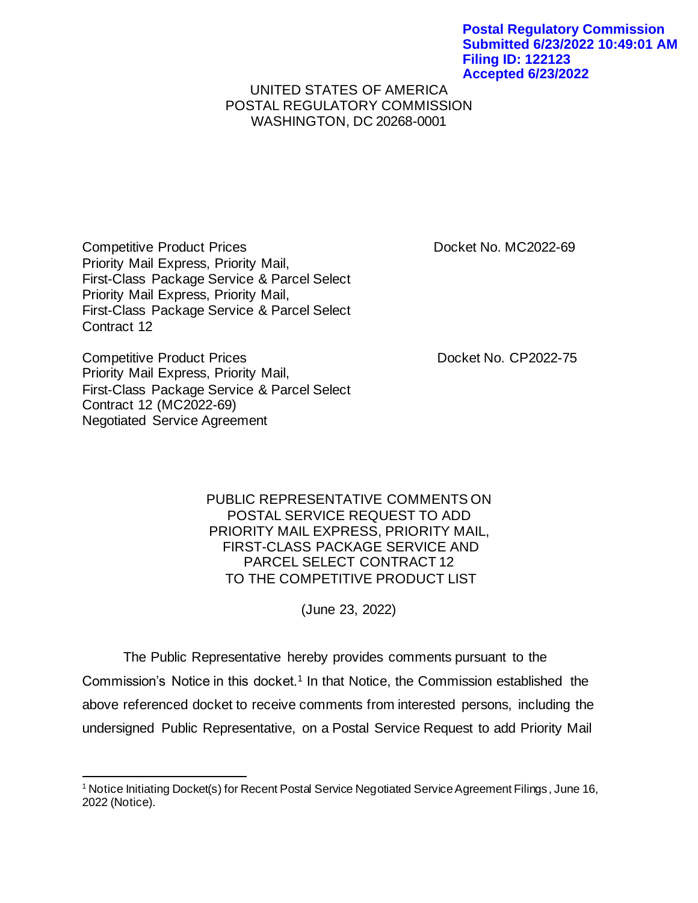## UNITED STATES OF AMERICA POSTAL REGULATORY COMMISSION WASHINGTON, DC 20268-0001

Competitive Product Prices **Docket No. MC2022-69** Priority Mail Express, Priority Mail, First-Class Package Service & Parcel Select Priority Mail Express, Priority Mail, First-Class Package Service & Parcel Select Contract 12

Competitive Product Prices **Docket No. CP2022-75** Priority Mail Express, Priority Mail, First-Class Package Service & Parcel Select Contract 12 (MC2022-69) Negotiated Service Agreement

PUBLIC REPRESENTATIVE COMMENTS ON POSTAL SERVICE REQUEST TO ADD PRIORITY MAIL EXPRESS, PRIORITY MAIL, FIRST-CLASS PACKAGE SERVICE AND PARCEL SELECT CONTRACT 12 TO THE COMPETITIVE PRODUCT LIST

(June 23, 2022)

The Public Representative hereby provides comments pursuant to the Commission's Notice in this docket.<sup>1</sup> In that Notice, the Commission established the above referenced docket to receive comments from interested persons, including the undersigned Public Representative, on a Postal Service Request to add Priority Mail

<sup>&</sup>lt;sup>1</sup> Notice Initiating Docket(s) for Recent Postal Service Negotiated Service Agreement Filings, June 16, 2022 (Notice).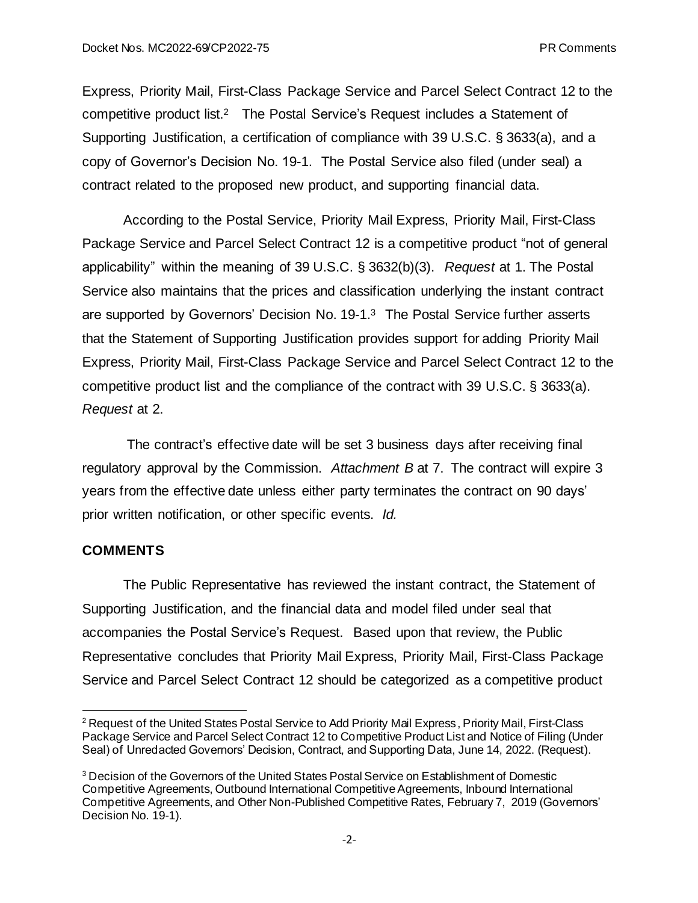Express, Priority Mail, First-Class Package Service and Parcel Select Contract 12 to the competitive product list.2 The Postal Service's Request includes a Statement of Supporting Justification, a certification of compliance with 39 U.S.C. § 3633(a), and a copy of Governor's Decision No. 19-1. The Postal Service also filed (under seal) a contract related to the proposed new product, and supporting financial data.

According to the Postal Service, Priority Mail Express, Priority Mail, First-Class Package Service and Parcel Select Contract 12 is a competitive product "not of general applicability" within the meaning of 39 U.S.C. § 3632(b)(3). *Request* at 1. The Postal Service also maintains that the prices and classification underlying the instant contract are supported by Governors' Decision No. 19-1. <sup>3</sup> The Postal Service further asserts that the Statement of Supporting Justification provides support for adding Priority Mail Express, Priority Mail, First-Class Package Service and Parcel Select Contract 12 to the competitive product list and the compliance of the contract with 39 U.S.C. § 3633(a). *Request* at 2.

The contract's effective date will be set 3 business days after receiving final regulatory approval by the Commission. *Attachment B* at 7. The contract will expire 3 years from the effective date unless either party terminates the contract on 90 days' prior written notification, or other specific events. *Id.* 

## **COMMENTS**

The Public Representative has reviewed the instant contract, the Statement of Supporting Justification, and the financial data and model filed under seal that accompanies the Postal Service's Request. Based upon that review, the Public Representative concludes that Priority Mail Express, Priority Mail, First-Class Package Service and Parcel Select Contract 12 should be categorized as a competitive product

<sup>&</sup>lt;sup>2</sup> Request of the United States Postal Service to Add Priority Mail Express, Priority Mail, First-Class Package Service and Parcel Select Contract 12 to Competitive Product List and Notice of Filing (Under Seal) of Unredacted Governors' Decision, Contract, and Supporting Data, June 14, 2022. (Request).

<sup>&</sup>lt;sup>3</sup> Decision of the Governors of the United States Postal Service on Establishment of Domestic Competitive Agreements, Outbound International Competitive Agreements, Inbound International Competitive Agreements, and Other Non-Published Competitive Rates, February 7, 2019 (Governors' Decision No. 19-1).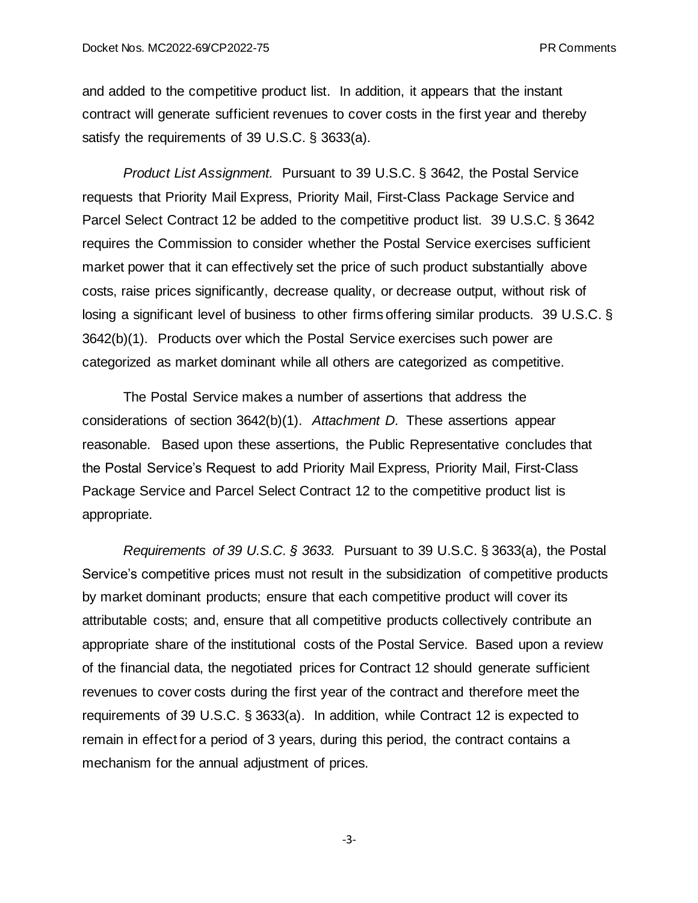and added to the competitive product list. In addition, it appears that the instant contract will generate sufficient revenues to cover costs in the first year and thereby satisfy the requirements of 39 U.S.C. § 3633(a).

*Product List Assignment.* Pursuant to 39 U.S.C. § 3642, the Postal Service requests that Priority Mail Express, Priority Mail, First-Class Package Service and Parcel Select Contract 12 be added to the competitive product list. 39 U.S.C. § 3642 requires the Commission to consider whether the Postal Service exercises sufficient market power that it can effectively set the price of such product substantially above costs, raise prices significantly, decrease quality, or decrease output, without risk of losing a significant level of business to other firms offering similar products. 39 U.S.C. § 3642(b)(1). Products over which the Postal Service exercises such power are categorized as market dominant while all others are categorized as competitive.

The Postal Service makes a number of assertions that address the considerations of section 3642(b)(1). *Attachment D.* These assertions appear reasonable. Based upon these assertions, the Public Representative concludes that the Postal Service's Request to add Priority Mail Express, Priority Mail, First-Class Package Service and Parcel Select Contract 12 to the competitive product list is appropriate.

*Requirements of 39 U.S.C. § 3633.* Pursuant to 39 U.S.C. § 3633(a), the Postal Service's competitive prices must not result in the subsidization of competitive products by market dominant products; ensure that each competitive product will cover its attributable costs; and, ensure that all competitive products collectively contribute an appropriate share of the institutional costs of the Postal Service. Based upon a review of the financial data, the negotiated prices for Contract 12 should generate sufficient revenues to cover costs during the first year of the contract and therefore meet the requirements of 39 U.S.C. § 3633(a). In addition, while Contract 12 is expected to remain in effect for a period of 3 years, during this period, the contract contains a mechanism for the annual adjustment of prices.

-3-